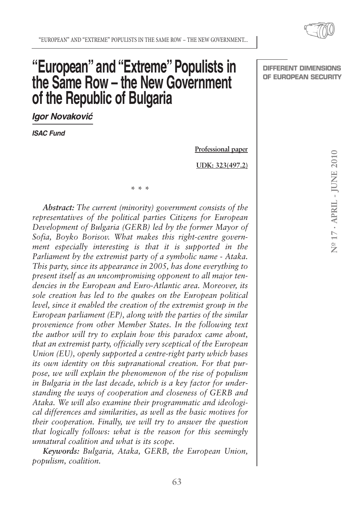> Nº 17 - APRIL - IUNE 2010 **No 17 · APRIL - JUNE 2010**

# **"European" and "Extreme" Populists in the Same Row – the New Government of the Republic of Bulgaria**

**\* \* \***

*Igor Novaković*

*ISAC Fund*

**Professional paper**

**UDK: 323(497.2)**

*Abstract: The current (minority) government consists of the representatives of the political parties Citizens for European Development of Bulgaria (GERB) led by the former Mayor of Sofia, Boyko Borisov. What makes this right-centre government especially interesting is that it is supported in the Parliament by the extremist party of a symbolic name - Ataka. This party, since its appearance in 2005, has done everything to present itself as an uncompromising opponent to all major tendencies in the European and Euro-Atlantic area. Moreover, its sole creation has led to the quakes on the European political level, since it enabled the creation of the extremist group in the European parliament (EP), along with the parties of the similar provenience from other Member States. In the following text the author will try to explain how this paradox came about, that an extremist party, officially very sceptical of the European Union (EU), openly supported a centre-right party which bases its own identity on this supranational creation. For that purpose, we will explain the phenomenon of the rise of populism in Bulgaria in the last decade, which is a key factor for understanding the ways of cooperation and closeness of GERB and Ataka. We will also examine their programmatic and ideological differences and similarities, as well as the basic motives for their cooperation. Finally, we will try to answer the question that logically follows: what is the reason for this seemingly unnatural coalition and what is its scope.*

*Keywords: Bulgaria, Ataka, GERB, the European Union, populism, coalition.*

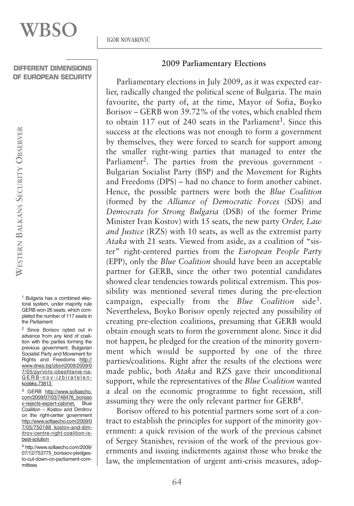<sup>1</sup> Bulgaria has a combined electoral system, under majority rule GERB won 26 seats, which completed the number of 117 seats in the Parliament

<sup>2</sup> Since Borisov opted out in advance from any kind of coalition with the parties forming the previous government, Bulgarian Socialist Party and Movement for Rights and Freedoms http:// www.dnes.bg/izbori2009/2009/0 7/05/pyrvoto-obeshtanie-na-GERB-nov-izbiratelenkodeks.73813

<sup>3</sup> GERB http://www.sofiaecho. com/2009/07/03/748476\_borisso v-rejects-expert-cabinet, Blue Coalition – Kostov and Dimitrov on the right-center government http://www.sofiaecho.com/2009/0 7/05/750188\_kostov-and-dimitrov-centre-right-coalition-isbest-solution

<sup>4</sup> http://www.sofiaecho.com/2009/ 07/12/753775\_borissov-pledgesto-cut-down-on-parliament-committees

## **2009 Parliamentary Elections**

Parliamentary elections in July 2009, as it was expected earlier, radically changed the political scene of Bulgaria. The main favourite, the party of, at the time, Mayor of Sofia, Boyko Borisov – GERB won 39.72% of the votes, which enabled them to obtain 117 out of 240 seats in the Parliament<sup>1</sup>. Since this success at the elections was not enough to form a government by themselves, they were forced to search for support among the smaller right-wing parties that managed to enter the Parliament<sup>2</sup>. The parties from the previous government -Bulgarian Socialist Party (BSP) and the Movement for Rights and Freedoms (DPS) – had no chance to form another cabinet. Hence, the possible partners were both the *Blue Coalition* (formed by the *Alliance of Democratic Forces* (SDS) and *Democrats for Strong Bulgaria* (DSB) of the former Prime Minister Ivan Kostov) with 15 seats, the new party *Order, Law and Justice* (RZS) with 10 seats, as well as the extremist party *Ataka* with 21 seats. Viewed from aside, as a coalition of "sister" right-centered parties from the *European People Party* (EPP), only the *Blue Coalition* should have been an acceptable partner for GERB, since the other two potential candidates showed clear tendencies towards political extremism. This possibility was mentioned several times during the pre-election campaign, especially from the *Blue Coalition* side3. Nevertheless, Boyko Borisov openly rejected any possibility of creating pre-election coalitions, presuming that GERB would obtain enough seats to form the government alone. Since it did not happen, he pledged for the creation of the minority government which would be supported by one of the three parties/coalitions. Right after the results of the elections were made public, both *Ataka* and RZS gave their unconditional support, while the representatives of the *Blue Coalition* wanted a deal on the economic programme to fight recession, still assuming they were the only relevant partner for GERB4.

Borisov offered to his potential partners some sort of a contract to establish the principles for support of the minority government: a quick revision of the work of the previous cabinet of Sergey Stanishev, revision of the work of the previous governments and issuing indictments against those who broke the law, the implementation of urgent anti-crisis measures, adop-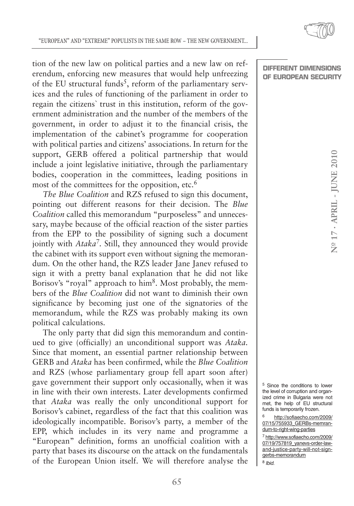tion of the new law on political parties and a new law on referendum, enforcing new measures that would help unfreezing of the EU structural funds<sup>5</sup>, reform of the parliamentary services and the rules of functioning of the parliament in order to regain the citizens` trust in this institution, reform of the government administration and the number of the members of the government, in order to adjust it to the financial crisis, the implementation of the cabinet's programme for cooperation with political parties and citizens' associations. In return for the support, GERB offered a political partnership that would include a joint legislative initiative, through the parliamentary bodies, cooperation in the committees, leading positions in most of the committees for the opposition, etc.<sup>6</sup>

*The Blue Coalition* and RZS refused to sign this document, pointing out different reasons for their decision. The *Blue Coalition* called this memorandum "purposeless" and unnecessary, maybe because of the official reaction of the sister parties from the EPP to the possibility of signing such a document jointly with *Ataka*7*.* Still, they announced they would provide the cabinet with its support even without signing the memorandum. On the other hand, the RZS leader Jane Janev refused to sign it with a pretty banal explanation that he did not like Borisov's "royal" approach to him<sup>8</sup>. Most probably, the members of the *Blue Coalition* did not want to diminish their own significance by becoming just one of the signatories of the memorandum, while the RZS was probably making its own political calculations.

The only party that did sign this memorandum and continued to give (officially) an unconditional support was *Ataka.* Since that moment, an essential partner relationship between GERB and *Ataka* has been confirmed, while the *Blue Coalition* and RZS (whose parliamentary group fell apart soon after) gave government their support only occasionally, when it was in line with their own interests. Later developments confirmed that *Ataka* was really the only unconditional support for Borisov's cabinet, regardless of the fact that this coalition was ideologically incompatible. Borisov's party, a member of the EPP, which includes in its very name and programme a "European" definition, forms an unofficial coalition with a party that bases its discourse on the attack on the fundamentals of the European Union itself. We will therefore analyse the

**DIFFERENT DIMENSIONS OF EUROPEAN SECURITY**

<sup>5</sup> Since the conditions to lower the level of corruption and organized crime in Bulgaria were not met, the help of EU structural funds is temporarily frozen.

<sup>6</sup> http://sofiaecho.com/2009/ 07/15/755933\_GERBs-memrandum-to-right-wing-parties

<sup>7</sup> http://www.sofiaecho.com/2009/ 07/19/757819\_vanevs-order-lawand-justice-party-will-not-signgerbs-memorandum

<sup>8</sup> Ibid.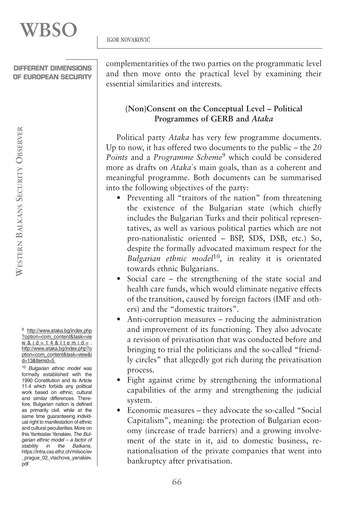<sup>9</sup> http://www.ataka.bg/index.php ?option=com\_content&task=vie w & id =  $14$  & Itemid = , http://www.ataka.bg/index.php?o ption=com\_content&task=view&i d=13&Itemid=5

<sup>10</sup> Bulgarian ethnic model was formally established with the 1990 Constitution and its Article 11.4 which forbids any political work based on ethnic, cultural and similar differences. Therefore, Bulgarian nation is defined as primarily civil, while at the same time guaranteeing individual right to manifestation of ethnic and cultural peculiarities.More on this Yantsislav Yanakiev, The Bulgarian ethnic model – a factor of stability in the Balkans, https://intra.css.ethz.ch/milsoc/ev \_prague\_02\_vlachova\_yanakiev. pdf

complementarities of the two parties on the programmatic level and then move onto the practical level by examining their essential similarities and interests.

# **(Non)Consent on the Conceptual Level – Political Programmes of GERB and** *Ataka*

Political party *Ataka* has very few programme documents. Up to now, it has offered two documents to the public – the *20 Points* and a *Programme Scheme*<sup>9</sup> which could be considered more as drafts on *Ataka*`s main goals, than as a coherent and meaningful programme. Both documents can be summarised into the following objectives of the party:

- Preventing all "traitors of the nation" from threatening the existence of the Bulgarian state (which chiefly includes the Bulgarian Turks and their political representatives, as well as various political parties which are not pro-nationalistic oriented – BSP, SDS, DSB, etc.) So, despite the formally advocated maximum respect for the *Bulgarian ethnic model*10, in reality it is orientated towards ethnic Bulgarians.
- Social care the strengthening of the state social and health care funds, which would eliminate negative effects of the transition, caused by foreign factors (IMF and others) and the "domestic traitors".
- Anti-corruption measures reducing the administration and improvement of its functioning. They also advocate a revision of privatisation that was conducted before and bringing to trial the politicians and the so-called "friendly circles" that allegedly got rich during the privatisation process.
- Fight against crime by strengthening the informational capabilities of the army and strengthening the judicial system.
- Economic measures they advocate the so-called "Social Capitalism", meaning: the protection of Bulgarian economy (increase of trade barriers) and a growing involvement of the state in it, aid to domestic business, renationalisation of the private companies that went into bankruptcy after privatisation.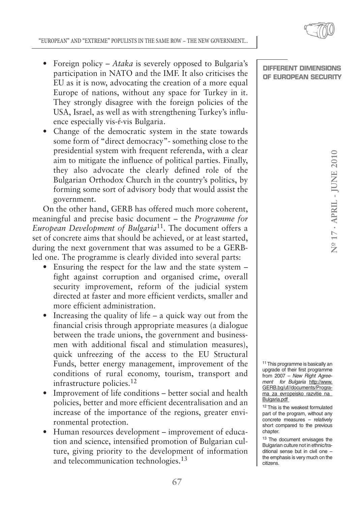- Foreign policy *Ataka* is severely opposed to Bulgaria's participation in NATO and the IMF. It also criticises the EU as it is now, advocating the creation of a more equal Europe of nations, without any space for Turkey in it. They strongly disagree with the foreign policies of the USA, Israel, as well as with strengthening Turkey's influence especially vis-ŕ-vis Bulgaria.
- Change of the democratic system in the state towards some form of "direct democracy"- something close to the presidential system with frequent referenda, with a clear aim to mitigate the influence of political parties. Finally, they also advocate the clearly defined role of the Bulgarian Orthodox Church in the country's politics, by forming some sort of advisory body that would assist the government.

On the other hand, GERB has offered much more coherent, meaningful and precise basic document – the *Programme for European Development of Bulgaria*11. The document offers a set of concrete aims that should be achieved, or at least started, during the next government that was assumed to be a GERBled one. The programme is clearly divided into several parts:

- Ensuring the respect for the law and the state system fight against corruption and organised crime, overall security improvement, reform of the judicial system directed at faster and more efficient verdicts, smaller and more efficient administration.
- Increasing the quality of life a quick way out from the financial crisis through appropriate measures (a dialogue between the trade unions, the government and businessmen with additional fiscal and stimulation measures), quick unfreezing of the access to the EU Structural Funds, better energy management, improvement of the conditions of rural economy, tourism, transport and infrastructure policies.12
- Improvement of life conditions better social and health policies, better and more efficient decentralisation and an increase of the importance of the regions, greater environmental protection.
- Human resources development improvement of education and science, intensified promotion of Bulgarian culture, giving priority to the development of information and telecommunication technologies.<sup>13</sup>

**DIFFERENT DIMENSIONS OF EUROPEAN SECURITY**

11 This programme is basically an upgrade of their first programme from 2007 – New Right Agreement for Bulgaria http://www. GERB.bg/uf//documents/Programa\_za\_evropeisko\_razvitie\_na\_ Bulgaria.pdf

<sup>12</sup> This is the weakest formulated part of the program, without any concrete measures – relatively short compared to the previous chapter.

<sup>13</sup> The document envisages the Bulgarian culture not in ethnic/traditional sense but in civil one – the emphasis is very much on the citizens.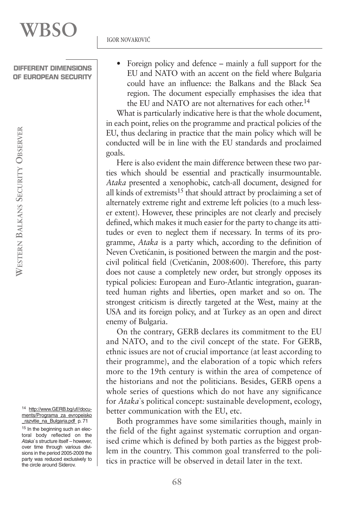Foreign policy and defence – mainly a full support for the EU and NATO with an accent on the field where Bulgaria could have an influence: the Balkans and the Black Sea region. The document especially emphasises the idea that the EU and NATO are not alternatives for each other.<sup>14</sup>

What is particularly indicative here is that the whole document, in each point, relies on the programme and practical policies of the EU, thus declaring in practice that the main policy which will be conducted will be in line with the EU standards and proclaimed goals.

Here is also evident the main difference between these two parties which should be essential and practically insurmountable. *Ataka* presented a xenophobic, catch-all document, designed for all kinds of extremists<sup>15</sup> that should attract by proclaiming a set of alternately extreme right and extreme left policies (to a much lesser extent). However, these principles are not clearly and precisely defined, which makes it much easier for the party to change its attitudes or even to neglect them if necessary. In terms of its programme, *Ataka* is a party which, according to the definition of Neven Cvetićanin, is positioned between the margin and the postcivil political field (Cvetićanin, 2008:600). Therefore, this party does not cause a completely new order, but strongly opposes its typical policies: European and Euro-Atlantic integration, guaranteed human rights and liberties, open market and so on. The strongest criticism is directly targeted at the West, mainy at the USA and its foreign policy, and at Turkey as an open and direct enemy of Bulgaria.

On the contrary, GERB declares its commitment to the EU and NATO, and to the civil concept of the state. For GERB, ethnic issues are not of crucial importance (at least according to their programme), and the elaboration of a topic which refers more to the 19th century is within the area of competence of the historians and not the politicians. Besides, GERB opens a whole series of questions which do not have any significance for *Ataka`*s political concept*:* sustainable development, ecology, better communication with the EU, etc.

Both programmes have some similarities though, mainly in the field of the fight against systematic corruption and organised crime which is defined by both parties as the biggest problem in the country. This common goal transferred to the politics in practice will be observed in detail later in the text.

<sup>14</sup> http://www.GERB.bg/uf//documents/Programa\_za\_evropeisko \_razvitie\_na\_Bulgaria.pdf p. 71

<sup>15</sup> In the beginning such an electoral body reflected on the Ataka`s structure itself – however, over time through various divisions in the period 2005-2009 the party was reduced exclusively to the circle around Siderov.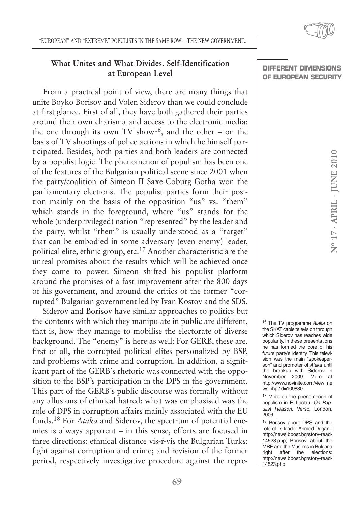# **What Unites and What Divides. Self-Identification at European Level**

From a practical point of view, there are many things that unite Boyko Borisov and Volen Siderov than we could conclude at first glance. First of all, they have both gathered their parties around their own charisma and access to the electronic media: the one through its own TV show<sup>16</sup>, and the other – on the basis of TV shootings of police actions in which he himself participated. Besides, both parties and both leaders are connected by a populist logic. The phenomenon of populism has been one of the features of the Bulgarian political scene since 2001 when the party/coalition of Simeon II Saxe-Coburg-Gotha won the parliamentary elections. The populist parties form their position mainly on the basis of the opposition "us" vs. "them" which stands in the foreground, where "us" stands for the whole (underprivileged) nation "represented" by the leader and the party, whilst "them" is usually understood as a "target" that can be embodied in some adversary (even enemy) leader, political elite, ethnic group, etc.<sup>17</sup> Another characteristic are the unreal promises about the results which will be achieved once they come to power. Simeon shifted his populist platform around the promises of a fast improvement after the 800 days of his government, and around the critics of the former "corrupted" Bulgarian government led by Ivan Kostov and the SDS.

Siderov and Borisov have similar approaches to politics but the contents with which they manipulate in public are different, that is, how they manage to mobilise the electorate of diverse background. The "enemy" is here as well: For GERB, these are, first of all, the corrupted political elites personalized by BSP, and problems with crime and corruption. In addition, a significant part of the GERB`s rhetoric was connected with the opposition to the BSP`s participation in the DPS in the government. This part of the GERB`s public discourse was formally without any allusions of ethnical hatred: what was emphasised was the role of DPS in corruption affairs mainly associated with the EU funds.<sup>18</sup> For *Ataka* and Siderov, the spectrum of potential enemies is always apparent – in this sense, efforts are focused in three directions: ethnical distance vis-ŕ-vis the Bulgarian Turks; fight against corruption and crime; and revision of the former period, respectively investigative procedure against the repre**DIFFERENT DIMENSIONS OF EUROPEAN SECURITY**

16 The TV programme Ataka on the SKAT cable television through which Siderov has reaches wide popularity. In these presentations he has formed the core of his future party's identity. This television was the main "spokesperson" and promoter of Ataka until the breakup with Siderov in November 2009. More at http://www.novinite.com/view\_ne ws.php?id=109830

17 More on the phenomenon of populism in E. Laclau, On Populist Reason, Verso, London, 2006

<sup>18</sup> Borisov about DPS and the role of its leader Ahmed Dogan : http://news.bpost.bg/story-read-14523.php; Borisov about the MRF and the Muslims in Bulgaria right after the elections: http://news.bpost.bg/story-read-14523.php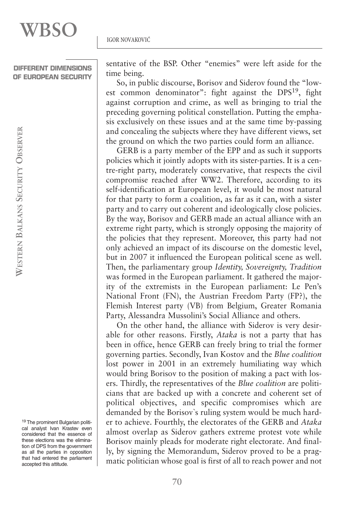sentative of the BSP. Other "enemies" were left aside for the time being.

So, in public discourse, Borisov and Siderov found the "lowest common denominator": fight against the DPS19, fight against corruption and crime, as well as bringing to trial the preceding governing political constellation. Putting the emphasis exclusively on these issues and at the same time by-passing and concealing the subjects where they have different views, set the ground on which the two parties could form an alliance.

GERB is a party member of the EPP and as such it supports policies which it jointly adopts with its sister-parties. It is a centre-right party, moderately conservative, that respects the civil compromise reached after WW2. Therefore, according to its self-identification at European level, it would be most natural for that party to form a coalition, as far as it can, with a sister party and to carry out coherent and ideologically close policies. By the way, Borisov and GERB made an actual alliance with an extreme right party, which is strongly opposing the majority of the policies that they represent. Moreover, this party had not only achieved an impact of its discourse on the domestic level, but in 2007 it influenced the European political scene as well. Then, the parliamentary group *Identity, Sovereignty, Tradition* was formed in the European parliament. It gathered the majority of the extremists in the European parliament: Le Pen's National Front (FN), the Austrian Freedom Party (FP?), the Flemish Interest party (VB) from Belgium, Greater Romania Party, Alessandra Mussolini's Social Alliance and others.

On the other hand, the alliance with Siderov is very desirable for other reasons. Firstly, *Ataka* is not a party that has been in office, hence GERB can freely bring to trial the former governing parties. Secondly, Ivan Kostov and the *Blue coalition* lost power in 2001 in an extremely humiliating way which would bring Borisov to the position of making a pact with losers. Thirdly, the representatives of the *Blue coalition* are politicians that are backed up with a concrete and coherent set of political objectives, and specific compromises which are demanded by the Borisov`s ruling system would be much harder to achieve. Fourthly, the electorates of the GERB and *Ataka* almost overlap as Siderov gathers extreme protest vote while Borisov mainly pleads for moderate right electorate. And finally, by signing the Memorandum, Siderov proved to be a pragmatic politician whose goal is first of all to reach power and not

<sup>19</sup> The prominent Bulgarian political analyst Ivan Krastev even considered that the essence of these elections was the elimination of DPS from the government as all the parties in opposition that had entered the parliament accepted this attitude.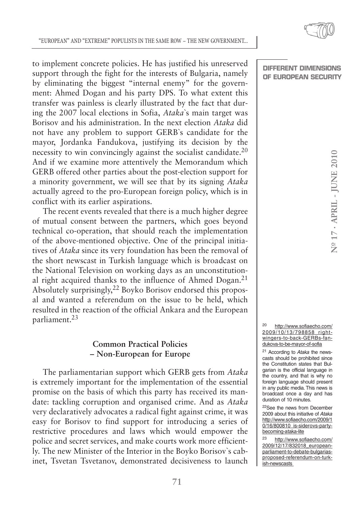to implement concrete policies. He has justified his unreserved support through the fight for the interests of Bulgaria, namely by eliminating the biggest "internal enemy" for the government: Ahmed Dogan and his party DPS. To what extent this transfer was painless is clearly illustrated by the fact that during the 2007 local elections in Sofia, *Ataka*`s main target was Borisov and his administration. In the next election *Ataka* did not have any problem to support GERB`s candidate for the mayor, Jordanka Fandukova, justifying its decision by the necessity to win convincingly against the socialist candidate.<sup>20</sup> And if we examine more attentively the Memorandum which GERB offered other parties about the post-election support for a minority government, we will see that by its signing *Ataka* actually agreed to the pro-European foreign policy, which is in conflict with its earlier aspirations.

The recent events revealed that there is a much higher degree of mutual consent between the partners, which goes beyond technical co-operation, that should reach the implementation of the above-mentioned objective. One of the principal initiatives of *Ataka* since its very foundation has been the removal of the short newscast in Turkish language which is broadcast on the National Television on working days as an unconstitutional right acquired thanks to the influence of Ahmed Dogan.<sup>21</sup> Absolutely surprisingly,22 Boyko Borisov endorsed this proposal and wanted a referendum on the issue to be held, which resulted in the reaction of the official Ankara and the European parliament.23

## **Common Practical Policies – Non-European for Europe**

The parliamentarian support which GERB gets from *Ataka* is extremely important for the implementation of the essential promise on the basis of which this party has received its mandate: tackling corruption and organised crime. And as *Ataka* very declaratively advocates a radical fight against crime, it was easy for Borisov to find support for introducing a series of restrictive procedures and laws which would empower the police and secret services, and make courts work more efficiently. The new Minister of the Interior in the Boyko Borisov`s cabinet, Tsvetan Tsvetanov, demonstrated decisiveness to launch

### **DIFFERENT DIMENSIONS OF EUROPEAN SECURITY**

<sup>20</sup> http://www.sofiaecho.com/ 2009/10/13/798858\_rightwingers-to-back-GERBs-fandukova-to-be-mayor-of-sofia

<sup>21</sup> According to Ataka the newscasts should be prohibited since the Constitution states that Bulgarian is the official language in the country, and that is why no foreign language should present in any public media. This news is broadcast once a day and has duration of 10 minutes.

22See the news from December 2009 about this initiative of Ataka http://www.sofiaecho.com/2009/1 0/16/800810\_is-siderovs-partybecoming-ataka-lite

<sup>23</sup> http://www.sofiaecho.com/ 2009/12/17/832018\_europeanparliament-to-debate-bulgariasproposed-referendum-on-turkish-newscasts

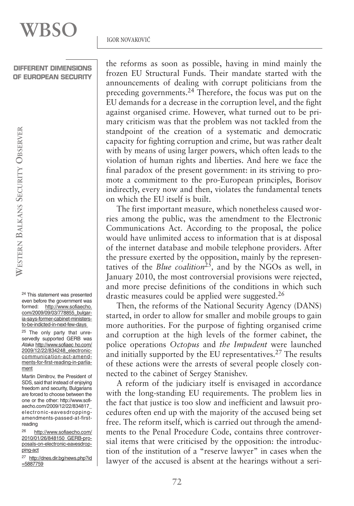WESTERN BALKANS SECURITY OBSERVER **OBSERVER SECURITY BALKANS WESTERN**

> <sup>24</sup> This statement was presented even before the government was formed: http://www.sofiaecho. com/2009/09/03/778855\_bulgaria-says-former-cabinet-ministersto-be-indicted-in-next-few-days

> <sup>25</sup> The only party that unreservedly supported GERB was Ataka http://www.sofiaec ho.com/ 2009/12/22/834248\_electroniccommunication-act-amendments-for-first-reading-in-parliament

> Martin Dimitrov, the President of SDS, said that instead of enjoying freedom and security, Bulgarians are forced to choose between the one or the other: http://www.sofiaecho.com/2009/12/22/834817\_ electronic-eavesdroppingamendments-passed-at-firstreading

> <sup>26</sup> http://www.sofiaecho.com/ 2010/01/26/848150\_GERB-proposals-on-electronic-eavesdropping-act

> <sup>27</sup> http://dnes.dir.bg/news.php?id =5887759

the reforms as soon as possible, having in mind mainly the frozen EU Structural Funds. Their mandate started with the announcements of dealing with corrupt politicians from the preceding governments.24 Therefore, the focus was put on the EU demands for a decrease in the corruption level, and the fight against organised crime. However, what turned out to be primary criticism was that the problem was not tackled from the standpoint of the creation of a systematic and democratic capacity for fighting corruption and crime, but was rather dealt with by means of using larger powers, which often leads to the violation of human rights and liberties. And here we face the final paradox of the present government: in its striving to promote a commitment to the pro-European principles, Borisov indirectly, every now and then, violates the fundamental tenets on which the EU itself is built.

The first important measure, which nonetheless caused worries among the public, was the amendment to the Electronic Communications Act. According to the proposal, the police would have unlimited access to information that is at disposal of the internet database and mobile telephone providers. After the pressure exerted by the opposition, mainly by the representatives of the *Blue coalition*25*,* and by the NGOs as well, in January 2010, the most controversial provisions were rejected, and more precise definitions of the conditions in which such drastic measures could be applied were suggested.<sup>26</sup>

Then, the reforms of the National Security Agency (DANS) started, in order to allow for smaller and mobile groups to gain more authorities. For the purpose of fighting organised crime and corruption at the high levels of the former cabinet, the police operations *Octopus* and *the Impudent* were launched and initially supported by the EU representatives.27 The results of these actions were the arrests of several people closely connected to the cabinet of Sergey Stanishev.

A reform of the judiciary itself is envisaged in accordance with the long-standing EU requirements. The problem lies in the fact that justice is too slow and inefficient and lawsuit procedures often end up with the majority of the accused being set free. The reform itself, which is carried out through the amendments to the Penal Procedure Code, contains three controversial items that were criticised by the opposition: the introduction of the institution of a "reserve lawyer" in cases when the lawyer of the accused is absent at the hearings without a seri-